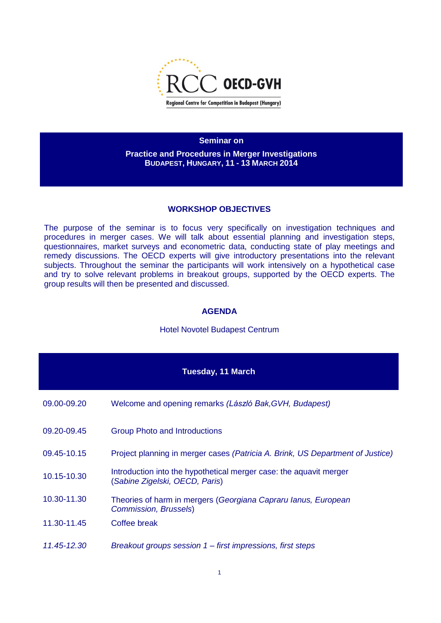

**Seminar on** 

**Practice and Procedures in Merger Investigations BUDAPEST, HUNGARY, 11 - 13 MARCH 2014**

## **WORKSHOP OBJECTIVES**

The purpose of the seminar is to focus very specifically on investigation techniques and procedures in merger cases. We will talk about essential planning and investigation steps, questionnaires, market surveys and econometric data, conducting state of play meetings and remedy discussions. The OECD experts will give introductory presentations into the relevant subjects. Throughout the seminar the participants will work intensively on a hypothetical case and try to solve relevant problems in breakout groups, supported by the OECD experts. The group results will then be presented and discussed.

## **AGENDA**

## Hotel Novotel Budapest Centrum

|             | Tuesday, 11 March                                                                                    |
|-------------|------------------------------------------------------------------------------------------------------|
| 09.00-09.20 | Welcome and opening remarks (László Bak, GVH, Budapest)                                              |
| 09.20-09.45 | <b>Group Photo and Introductions</b>                                                                 |
| 09.45-10.15 | Project planning in merger cases (Patricia A. Brink, US Department of Justice)                       |
| 10.15-10.30 | Introduction into the hypothetical merger case: the aquavit merger<br>(Sabine Zigelski, OECD, Paris) |
| 10.30-11.30 | Theories of harm in mergers (Georgiana Capraru lanus, European<br><b>Commission, Brussels)</b>       |
| 11.30-11.45 | Coffee break                                                                                         |
| 11.45-12.30 | Breakout groups session 1 – first impressions, first steps                                           |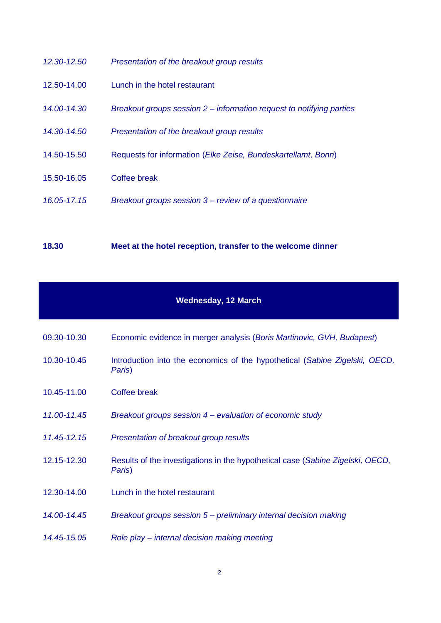| 12.30-12.50 | Presentation of the breakout group results                           |
|-------------|----------------------------------------------------------------------|
| 12.50-14.00 | Lunch in the hotel restaurant                                        |
| 14.00-14.30 | Breakout groups session 2 – information request to notifying parties |
| 14.30-14.50 | Presentation of the breakout group results                           |
| 14.50-15.50 | Requests for information (Elke Zeise, Bundeskartellamt, Bonn)        |
| 15.50-16.05 | Coffee break                                                         |
| 16.05-17.15 | Breakout groups session 3 – review of a questionnaire                |
|             |                                                                      |

**18.30 Meet at the hotel reception, transfer to the welcome dinner** 

## **Wednesday, 12 March**

| 09.30-10.30 | Economic evidence in merger analysis (Boris Martinovic, GVH, Budapest) |
|-------------|------------------------------------------------------------------------|
|             |                                                                        |

- 10.30-10.45 Introduction into the economics of the hypothetical (*Sabine Zigelski, OECD, Paris*)
- 10.45-11.00 Coffee break
- *11.00-11.45 Breakout groups session 4 – evaluation of economic study*
- *11.45-12.15 Presentation of breakout group results*
- 12.15-12.30 Results of the investigations in the hypothetical case (*Sabine Zigelski, OECD, Paris*)
- 12.30-14.00 Lunch in the hotel restaurant
- *14.00-14.45 Breakout groups session 5 – preliminary internal decision making*
- *14.45-15.05 Role play – internal decision making meeting*